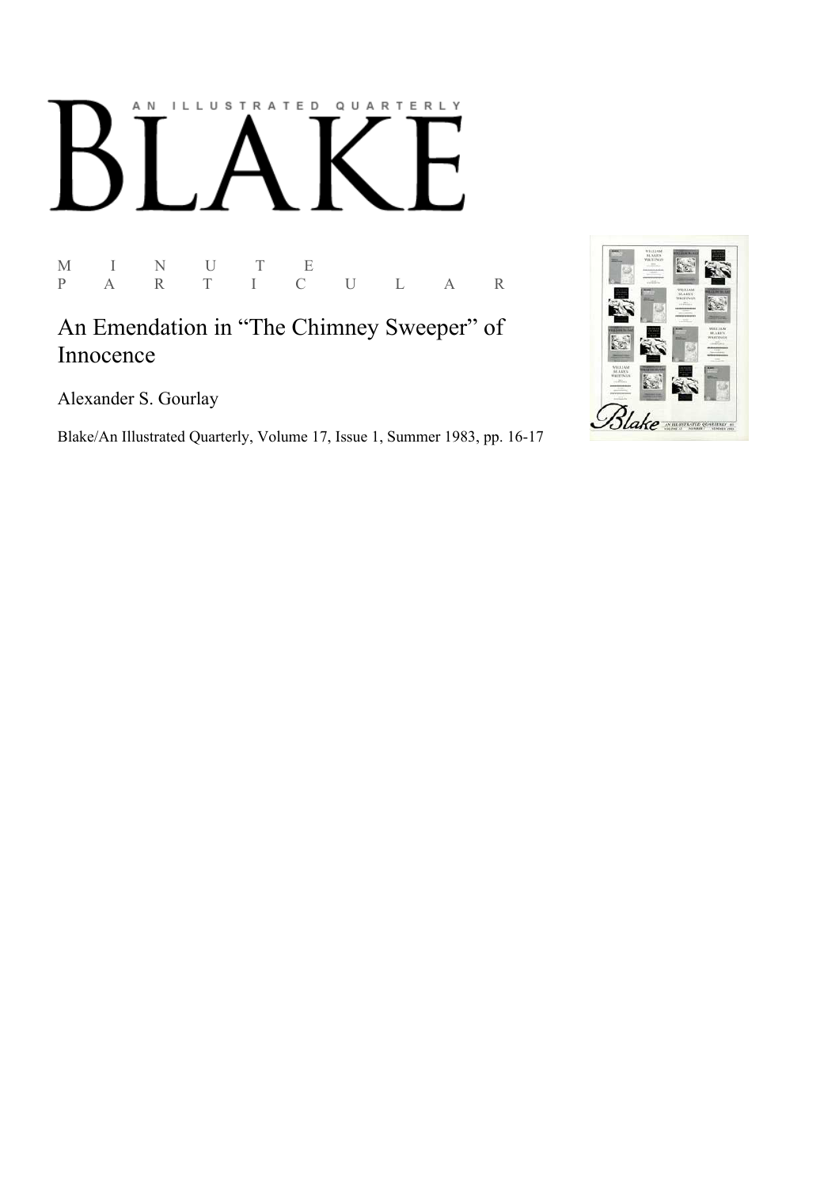# AN ILLUSTRATED QUARTERLY

 $\begin{array}{ccccccccc}\nM & & I & & N & & U & & T & & E \\
P & & A & & R & & T & & I & & C\n\end{array}$ P A R T I C U L A R

An Emendation in "The Chimney Sweeper" of Innocence

Alexander S. Gourlay

Blake/An Illustrated Quarterly, Volume 17, Issue 1, Summer 1983, pp. 16-17

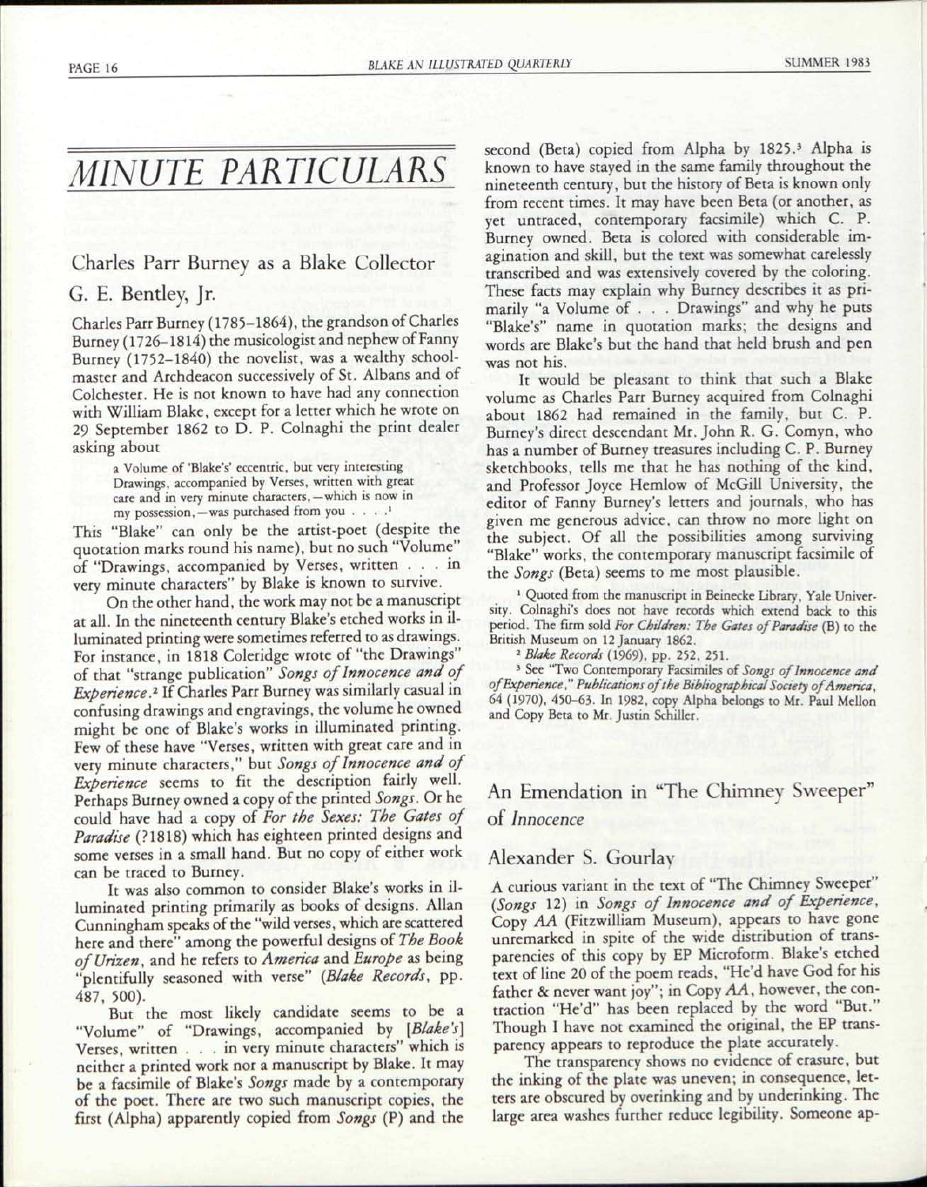## *MINUTE PARTICULARS*

#### Charles Parr Burney as a Blake Collector

#### G. E. Bentley, Jr.

Charles Parr Burney (1785-1864), the grandson of Charles Burney (1726-1814) the musicologist and nephew of Fanny Burney (1752-1840) the novelist, was a wealthy schoolmaster and Archdeacon successively of St. Albans and of Colchester. He is not known to have had any connection with William Blake, except for a letter which he wrote on 29 September 1862 to D. P. Colnaghi the print dealer asking about

> a Volume of 'Blake's' eccentric, but very interesting Drawings, accompanied by Verses, written with great care and in very minute characters,—which is now in my possession, — was purchased from you . . . .<sup>1</sup>

This "Blake" can only be the artist-poet (despite the quotation marks round his name), but no such "Volume" of "Drawings, accompanied by Verses, written .. . in very minute characters" by Blake is known to survive.

On the other hand, the work may not be a manuscript at all. In the nineteenth century Blake's etched works in illuminated printing were sometimes referred to as drawings. For instance, in 1818 Coleridge wrote of "the Drawings" of that "strange publication" *Songs of Innocence and of Experience?* If Charles Parr Burney was similarly casual in confusing drawings and engravings, the volume he owned might be one of Blake's works in illuminated printing. Few of these have "Verses, written with great care and in very minute characters," but *Songs of Innocence and of Experience* seems to fit the description fairly well. Perhaps Burney owned a copy of the printed Songs. Or he could have had a copy of *For the Sexes: The Gates of Paradise* (?1818) which has eighteen printed designs and some verses in a small hand. But no copy of either work can be traced to Burney.

It was also common to consider Blake's works in illuminated printing primarily as books of designs. Allan Cunningham speaks of the "wild verses, which are scattered here and there" among the powerful designs of *The Book ofUrizen,* and he refers to *America* and *Europe* as being "plentifully seasoned with verse" *{Blake Records,* pp. 487, 500).

But the most likely candidate seems to be a "Volume" of "Drawings, accompanied by *[Blake's]*  Verses, written .. . in very minute characters" which is neither a printed work nor a manuscript by Blake. It may be a facsimile of Blake's *Songs* made by a contemporary of the poet. There are two such manuscript copies, the first (Alpha) apparently copied from *Songs* (P) and the

second (Beta) copied from Alpha by 1825.<sup>3</sup> Alpha is known to have stayed in the same family throughout the nineteenth century, but the history of Beta is known only from recent times. It may have been Beta (or another, as yet untraced, contemporary facsimile) which C. P. Burney owned. Beta is colored with considerable imagination and skill, but the text was somewhat carelessly transcribed and was extensively covered by the coloring. These facts may explain why Burney describes it as primarily "a Volume of . . . Drawings" and why he puts "Blake's" name in quotation marks; the designs and words are Blake's but the hand that held brush and pen was not his.

It would be pleasant to think that such a Blake volume as Charles Parr Burney acquired from Colnaghi about 1862 had remained in the family, but C. P. Burney's direct descendant Mr. John R. G. Comyn, who has a number of Burney treasures including C. P. Burney sketchbooks, tells me that he has nothing of the kind, and Professor Joyce Hemlow of McGill University, the editor of Fanny Burney's letters and journals, who has given me generous advice, can throw no more light on the subject. Of all the possibilities among surviving "Blake" works, the contemporary manuscript facsimile of the *Songs* (Beta) seems to me most plausible.

<sup>1</sup> Quoted from the manuscript in Beinecke Library, Yale University. Colnaghi's does not have records which extend back to this period. The firm sold *For Children: The Gates of Paradise* (B) to the British Museum on 12 January 1862.

2  *Blake Records* (1969), pp. 252, 251.

3 See "Two Contemporary Facsimiles of *Songs of Innocence and ofExperience*," *Publications ofthe Bibliographical Society of America,*  64 (1970), 450-63. In 1982, copy Alpha belongs to Mr. Paul Mellon and Copy Beta to Mr. Justin Schiller.

### An Emendation in "The Chimney Sweeper" of *Innocence*

#### Alexander S. Gourlay

A curious variant in the text of "The Chimney Sweeper" *(Songs* 12) in *Songs of Innocence and of Experience,*  Copy *AA* (Fitzwilliam Museum), appears to have gone unremarked in spite of the wide distribution of transparencies of this copy by EP Microform. Blake's etched text of line 20 of the poem reads, "He'd have God for his father & never want joy"; in Copy AA, however, the contraction "He'd" has been replaced by the word "But." Though I have not examined the original, the EP transparency appears to reproduce the plate accurately.

The transparency shows no evidence of erasure, but the inking of the plate was uneven; in consequence, letters are obscured by overinking and by underinking. The large area washes further reduce legibility. Someone ap